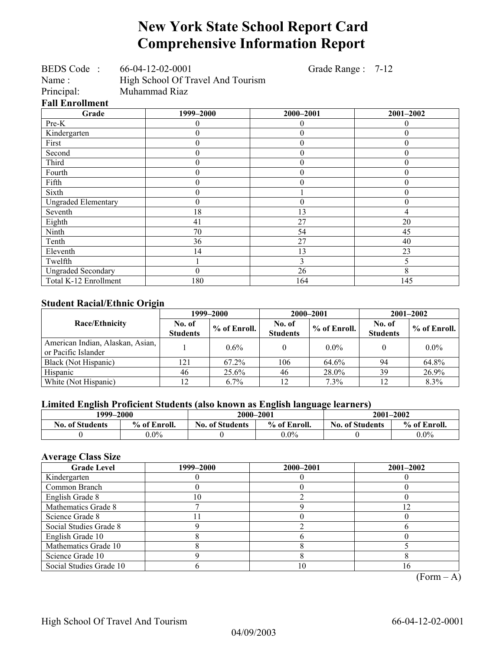# **New York State School Report Card Comprehensive Information Report**

Grade Range : 7-12

| BEDS Code:             | 66-04-12-02-0001                  |           |  |  |  |  |
|------------------------|-----------------------------------|-----------|--|--|--|--|
| Name:                  | High School Of Travel And Tourism |           |  |  |  |  |
| Principal:             | Muhammad Riaz                     |           |  |  |  |  |
| <b>Fall Enrollment</b> |                                   |           |  |  |  |  |
| Grade                  |                                   | 1999–2000 |  |  |  |  |

| Grade                      | 1999-2000 | 2000-2001        | $2001 - 2002$    |
|----------------------------|-----------|------------------|------------------|
| Pre-K                      |           | $\theta$         | $_{0}$           |
| Kindergarten               | 0         | $\boldsymbol{0}$ | $\boldsymbol{0}$ |
| First                      | 0         | $\theta$         | $\theta$         |
| Second                     | 0         | $\theta$         | $\Omega$         |
| Third                      | 0         | $\theta$         | 0                |
| Fourth                     |           | $\theta$         | 0                |
| Fifth                      | 0         | $\theta$         | 0                |
| Sixth                      | 0         |                  | 0                |
| <b>Ungraded Elementary</b> | 0         | $\theta$         | $\theta$         |
| Seventh                    | 18        | 13               | 4                |
| Eighth                     | 41        | 27               | 20               |
| Ninth                      | 70        | 54               | 45               |
| Tenth                      | 36        | 27               | 40               |
| Eleventh                   | 14        | 13               | 23               |
| Twelfth                    |           | 3                |                  |
| <b>Ungraded Secondary</b>  | 0         | 26               | 8                |
| Total K-12 Enrollment      | 180       | 164              | 145              |

### **Student Racial/Ethnic Origin**

| ັ                                                       | 1999–2000                 |                |                           | 2000-2001    | $2001 - 2002$             |              |
|---------------------------------------------------------|---------------------------|----------------|---------------------------|--------------|---------------------------|--------------|
| <b>Race/Ethnicity</b>                                   | No. of<br><b>Students</b> | $%$ of Enroll. | No. of<br><b>Students</b> | % of Enroll. | No. of<br><b>Students</b> | % of Enroll. |
| American Indian, Alaskan, Asian,<br>or Pacific Islander |                           | 0.6%           |                           | $0.0\%$      |                           | $0.0\%$      |
| Black (Not Hispanic)                                    | 121                       | 67.2%          | 106                       | 64.6%        | 94                        | 64.8%        |
| Hispanic                                                | 46                        | $25.6\%$       | 46                        | 28.0%        | 39                        | 26.9%        |
| White (Not Hispanic)                                    | 1 <sub>2</sub>            | $6.7\%$        | 12 <sub>1</sub>           | 7.3%         | 12                        | 8.3%         |

### **Limited English Proficient Students (also known as English language learners)**

| 1999–2000              |              | 2000-2001                              |         | $2001 - 2002$          |              |  |
|------------------------|--------------|----------------------------------------|---------|------------------------|--------------|--|
| <b>No. of Students</b> | % of Enroll. | % of Enroll.<br><b>No. of Students</b> |         | <b>No. of Students</b> | % of Enroll. |  |
|                        | $0.0\%$      |                                        | $0.0\%$ |                        | $0.0\%$      |  |

### **Average Class Size**

| <b>Grade Level</b>      | 1999–2000 | 2000-2001 | $2001 - 2002$ |
|-------------------------|-----------|-----------|---------------|
| Kindergarten            |           |           |               |
| Common Branch           |           |           |               |
| English Grade 8         | $\Omega$  |           |               |
| Mathematics Grade 8     |           |           | フ             |
| Science Grade 8         |           |           |               |
| Social Studies Grade 8  |           |           |               |
| English Grade 10        |           |           |               |
| Mathematics Grade 10    |           |           |               |
| Science Grade 10        |           |           |               |
| Social Studies Grade 10 |           | 10        | 16            |

 $(Form – A)$ 

٦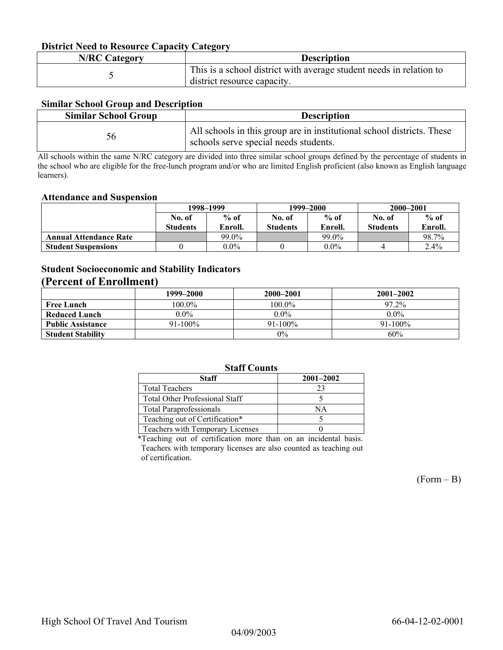### **District Need to Resource Capacity Category**

| <b>N/RC Category</b> | <b>Description</b>                                                                                 |
|----------------------|----------------------------------------------------------------------------------------------------|
|                      | This is a school district with average student needs in relation to<br>district resource capacity. |

### **Similar School Group and Description**

| <b>Similar School Group</b> | <b>Description</b>                                                                                              |
|-----------------------------|-----------------------------------------------------------------------------------------------------------------|
| 56                          | All schools in this group are in institutional school districts. These<br>schools serve special needs students. |

All schools within the same N/RC category are divided into three similar school groups defined by the percentage of students in the school who are eligible for the free-lunch program and/or who are limited English proficient (also known as English language learners).

#### **Attendance and Suspension**

|                               | 1998–1999       |         |                 | 1999–2000 | 2000-2001       |         |
|-------------------------------|-----------------|---------|-----------------|-----------|-----------------|---------|
|                               | No. of          | $%$ of  | No. of          | $%$ of    | No. of          | $%$ of  |
|                               | <b>Students</b> | Enroll. | <b>Students</b> | Enroll.   | <b>Students</b> | Enroll. |
| <b>Annual Attendance Rate</b> |                 | 99.0%   |                 | 99.0%     |                 | 98.7%   |
| <b>Student Suspensions</b>    |                 | $0.0\%$ |                 | $0.0\%$   |                 | 2.4%    |

## **Student Socioeconomic and Stability Indicators**

## **(Percent of Enrollment)**

|                          | 1999–2000  | 2000-2001    | $2001 - 2002$ |
|--------------------------|------------|--------------|---------------|
| <b>Free Lunch</b>        | $100.0\%$  | $100.0\%$    | 97.2%         |
| <b>Reduced Lunch</b>     | $0.0\%$    | $0.0\%$      | $0.0\%$       |
| <b>Public Assistance</b> | $91-100\%$ | $91 - 100\%$ | $91 - 100\%$  |
| <b>Student Stability</b> |            | $0\%$        | 60%           |

### **Staff Counts**

| Staff                                 | $2001 - 2002$ |
|---------------------------------------|---------------|
| <b>Total Teachers</b>                 | 23            |
| <b>Total Other Professional Staff</b> |               |
| <b>Total Paraprofessionals</b>        | ΝA            |
| Teaching out of Certification*        |               |
| Teachers with Temporary Licenses      |               |

\*Teaching out of certification more than on an incidental basis. Teachers with temporary licenses are also counted as teaching out of certification.

 $(Form - B)$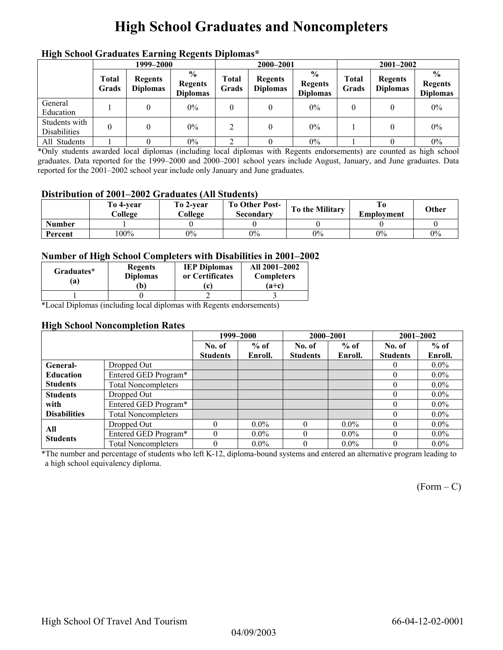# **High School Graduates and Noncompleters**

|                               | mga senyor sragaato narang regents Dipromas<br>1999–2000 |                                   |                                                    |                       | 2000-2001                         |                                                    |                | $2001 - 2002$                     |                                                    |  |
|-------------------------------|----------------------------------------------------------|-----------------------------------|----------------------------------------------------|-----------------------|-----------------------------------|----------------------------------------------------|----------------|-----------------------------------|----------------------------------------------------|--|
|                               | <b>Total</b><br>Grads                                    | <b>Regents</b><br><b>Diplomas</b> | $\frac{6}{9}$<br><b>Regents</b><br><b>Diplomas</b> | <b>Total</b><br>Grads | <b>Regents</b><br><b>Diplomas</b> | $\frac{6}{6}$<br><b>Regents</b><br><b>Diplomas</b> | Total<br>Grads | <b>Regents</b><br><b>Diplomas</b> | $\frac{0}{0}$<br><b>Regents</b><br><b>Diplomas</b> |  |
| General<br>Education          |                                                          |                                   | $0\%$                                              | 0                     |                                   | $0\%$                                              | 0              |                                   | $0\%$                                              |  |
| Students with<br>Disabilities |                                                          |                                   | $0\%$                                              | 2                     | $\theta$                          | $0\%$                                              |                |                                   | $0\%$                                              |  |
| All Students                  |                                                          |                                   | $0\%$                                              |                       |                                   | $0\%$                                              |                |                                   | $0\%$                                              |  |

## **High School Graduates Earning Regents Diplomas\***

\*Only students awarded local diplomas (including local diplomas with Regents endorsements) are counted as high school graduates. Data reported for the 1999–2000 and 2000–2001 school years include August, January, and June graduates. Data reported for the 2001–2002 school year include only January and June graduates.

### **Distribution of 2001–2002 Graduates (All Students)**

|               | To 4-vear<br>College | To 2-year<br>College | <b>To Other Post-</b><br>Secondary | <b>To the Military</b> | Emplovment | Other |
|---------------|----------------------|----------------------|------------------------------------|------------------------|------------|-------|
| <b>Number</b> |                      |                      |                                    |                        |            |       |
| Percent       | $100\%$              | 0%                   | $0\%$                              | $0\%$                  | $0\%$      | 0%    |

### **Number of High School Completers with Disabilities in 2001–2002**

| Graduates*<br>'a) | <b>Regents</b><br><b>Diplomas</b><br>Ъ) | <b>IEP Diplomas</b><br>or Certificates<br>c | All 2001-2002<br><b>Completers</b><br>$(a+c)$ |
|-------------------|-----------------------------------------|---------------------------------------------|-----------------------------------------------|
|                   |                                         |                                             |                                               |

\*Local Diplomas (including local diplomas with Regents endorsements)

#### **High School Noncompletion Rates**

|                     |                            | 1999-2000       |         | 2000-2001       |         | $2001 - 2002$   |         |
|---------------------|----------------------------|-----------------|---------|-----------------|---------|-----------------|---------|
|                     |                            | No. of          | $%$ of  | No. of          | $%$ of  | No. of          | $%$ of  |
|                     |                            | <b>Students</b> | Enroll. | <b>Students</b> | Enroll. | <b>Students</b> | Enroll. |
| General-            | Dropped Out                |                 |         |                 |         | $\left($        | $0.0\%$ |
| <b>Education</b>    | Entered GED Program*       |                 |         |                 |         | $\Omega$        | $0.0\%$ |
| <b>Students</b>     | <b>Total Noncompleters</b> |                 |         |                 |         | $\theta$        | $0.0\%$ |
| <b>Students</b>     | Dropped Out                |                 |         |                 |         | $\Omega$        | $0.0\%$ |
| with                | Entered GED Program*       |                 |         |                 |         |                 | $0.0\%$ |
| <b>Disabilities</b> | <b>Total Noncompleters</b> |                 |         |                 |         |                 | $0.0\%$ |
| All                 | Dropped Out                |                 | $0.0\%$ |                 | $0.0\%$ |                 | $0.0\%$ |
| <b>Students</b>     | Entered GED Program*       |                 | $0.0\%$ |                 | $0.0\%$ | $\theta$        | $0.0\%$ |
|                     | <b>Total Noncompleters</b> |                 | $0.0\%$ |                 | $0.0\%$ | 0               | $0.0\%$ |

\*The number and percentage of students who left K-12, diploma-bound systems and entered an alternative program leading to a high school equivalency diploma.

 $(Form - C)$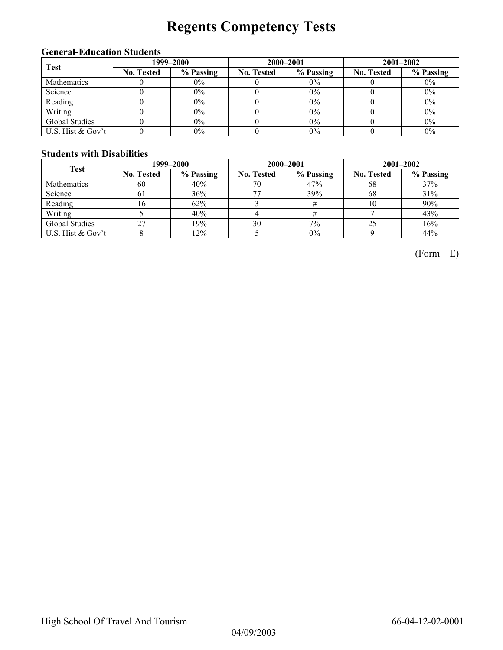# **Regents Competency Tests**

## **General-Education Students**

| <b>Test</b>        |                   | 1999–2000 |                   | 2000-2001 | $2001 - 2002$     |           |
|--------------------|-------------------|-----------|-------------------|-----------|-------------------|-----------|
|                    | <b>No. Tested</b> | % Passing | <b>No. Tested</b> | % Passing | <b>No. Tested</b> | % Passing |
| <b>Mathematics</b> |                   | $0\%$     |                   | $0\%$     |                   | $0\%$     |
| Science            |                   | $0\%$     |                   | 0%        |                   | $0\%$     |
| Reading            |                   | $0\%$     |                   | 0%        |                   | $0\%$     |
| Writing            |                   | $0\%$     |                   | 0%        |                   | $0\%$     |
| Global Studies     |                   | $0\%$     |                   | 0%        |                   | $0\%$     |
| U.S. Hist & Gov't  |                   | $0\%$     |                   | 0%        |                   | $0\%$     |

## **Students with Disabilities**

| <b>Test</b>       |                   | 1999–2000 |            | 2000-2001 | $2001 - 2002$     |           |  |
|-------------------|-------------------|-----------|------------|-----------|-------------------|-----------|--|
|                   | <b>No. Tested</b> | % Passing | No. Tested | % Passing | <b>No. Tested</b> | % Passing |  |
| Mathematics       | 60                | 40%       | 70         | 47%       | 68                | 37%       |  |
| Science           | 61                | 36%       | 77         | 39%       | 68                | 31%       |  |
| Reading           | l6                | 62%       |            |           | 10                | 90%       |  |
| Writing           |                   | 40%       |            |           |                   | 43%       |  |
| Global Studies    | 27                | 19%       | 30         | 7%        | 25                | 16%       |  |
| U.S. Hist & Gov't |                   | 12%       |            | 0%        |                   | 44%       |  |

 $(Form - E)$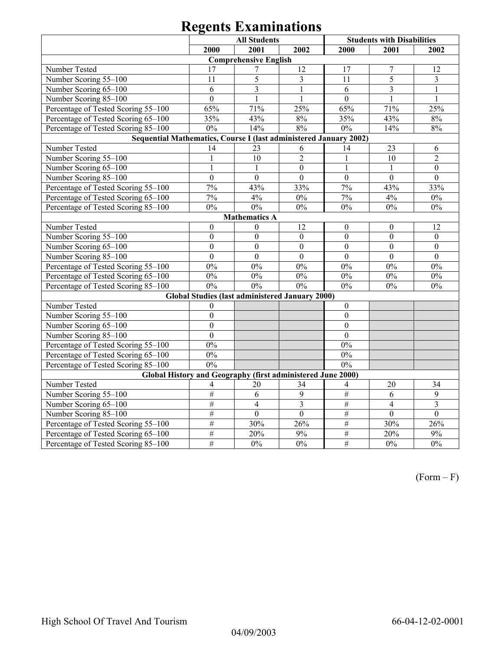# **Regents Examinations**

|                                                             | <b>All Students</b><br><b>Students with Disabilities</b>                                            |                              |                                                 |                  |                  |                  |  |  |  |  |  |
|-------------------------------------------------------------|-----------------------------------------------------------------------------------------------------|------------------------------|-------------------------------------------------|------------------|------------------|------------------|--|--|--|--|--|
|                                                             | 2000                                                                                                | 2001                         | 2002                                            | 2000             | 2001             | 2002             |  |  |  |  |  |
|                                                             |                                                                                                     | <b>Comprehensive English</b> |                                                 |                  |                  |                  |  |  |  |  |  |
| Number Tested                                               | 17                                                                                                  | 7                            | 12                                              | 17               | $\overline{7}$   | 12               |  |  |  |  |  |
| Number Scoring 55-100                                       | 11                                                                                                  | 5                            | $\overline{3}$                                  | 11               | 5                | $\overline{3}$   |  |  |  |  |  |
| Number Scoring 65-100                                       | 6                                                                                                   | 3                            | 1                                               | 6                | 3                | 1                |  |  |  |  |  |
| Number Scoring 85-100                                       | $\mathbf{0}$                                                                                        | $\mathbf{1}$                 | 1                                               | $\mathbf{0}$     | $\mathbf{1}$     | $\mathbf{1}$     |  |  |  |  |  |
| Percentage of Tested Scoring 55-100                         | 65%                                                                                                 | 71%                          | 25%                                             | 65%              | 71%              | 25%              |  |  |  |  |  |
| Percentage of Tested Scoring 65-100                         | 35%                                                                                                 | 43%                          | 8%                                              | 35%              | 43%              | 8%               |  |  |  |  |  |
| Percentage of Tested Scoring 85-100                         | $0\%$                                                                                               | 14%                          | 8%                                              | $0\%$            | 14%              | $8\%$            |  |  |  |  |  |
|                                                             |                                                                                                     |                              |                                                 |                  |                  |                  |  |  |  |  |  |
| Number Tested                                               | Sequential Mathematics, Course I (last administered January 2002)<br>14<br>23<br>23<br>6<br>14<br>6 |                              |                                                 |                  |                  |                  |  |  |  |  |  |
| Number Scoring 55-100                                       | $\mathbf{1}$                                                                                        | 10                           | $\overline{2}$                                  | $\mathbf{1}$     | 10               | $\overline{2}$   |  |  |  |  |  |
| Number Scoring 65-100                                       | $\mathbf{1}$                                                                                        | $\mathbf{1}$                 | $\mathbf{0}$                                    | $\mathbf{1}$     | $\mathbf{1}$     | $\boldsymbol{0}$ |  |  |  |  |  |
| Number Scoring 85-100                                       | $\mathbf{0}$                                                                                        | $\mathbf{0}$                 | $\mathbf{0}$                                    | $\boldsymbol{0}$ | $\boldsymbol{0}$ | $\mathbf{0}$     |  |  |  |  |  |
| Percentage of Tested Scoring 55-100                         | 7%                                                                                                  | 43%                          | $33\frac{6}{6}$                                 | 7%               | 43%              | 33%              |  |  |  |  |  |
| Percentage of Tested Scoring 65-100                         | 7%                                                                                                  | 4%                           | 0%                                              | 7%               | 4%               | $0\%$            |  |  |  |  |  |
| Percentage of Tested Scoring 85-100                         | $0\%$                                                                                               | $0\%$                        | $0\%$                                           | $0\%$            | $0\%$            | $0\%$            |  |  |  |  |  |
| <b>Mathematics A</b>                                        |                                                                                                     |                              |                                                 |                  |                  |                  |  |  |  |  |  |
| Number Tested                                               | $\boldsymbol{0}$                                                                                    | $\theta$                     | 12                                              | $\boldsymbol{0}$ | $\boldsymbol{0}$ | 12               |  |  |  |  |  |
| Number Scoring 55-100                                       | $\mathbf{0}$                                                                                        | $\mathbf{0}$                 | $\mathbf{0}$                                    | $\mathbf{0}$     | $\mathbf{0}$     | $\mathbf{0}$     |  |  |  |  |  |
| Number Scoring 65-100                                       | $\mathbf{0}$                                                                                        | $\overline{0}$               | $\boldsymbol{0}$                                | $\mathbf{0}$     | $\boldsymbol{0}$ | $\boldsymbol{0}$ |  |  |  |  |  |
| Number Scoring 85-100                                       | $\mathbf{0}$                                                                                        | $\overline{0}$               | $\boldsymbol{0}$                                | $\mathbf{0}$     | $\mathbf{0}$     | $\mathbf{0}$     |  |  |  |  |  |
| Percentage of Tested Scoring 55-100                         | $0\%$                                                                                               | $0\%$                        | $0\%$                                           | $0\%$            | $0\%$            | $0\%$            |  |  |  |  |  |
| Percentage of Tested Scoring 65-100                         | $0\%$                                                                                               | $0\%$                        | 0%                                              | $0\%$            | $0\%$            | $0\%$            |  |  |  |  |  |
| Percentage of Tested Scoring 85-100                         | 0%                                                                                                  | 0%                           | 0%                                              | $0\%$            | $0\%$            | $0\%$            |  |  |  |  |  |
|                                                             |                                                                                                     |                              | Global Studies (last administered January 2000) |                  |                  |                  |  |  |  |  |  |
| Number Tested                                               | $\mathbf{0}$                                                                                        |                              |                                                 | $\mathbf{0}$     |                  |                  |  |  |  |  |  |
| Number Scoring 55-100                                       | $\mathbf{0}$                                                                                        |                              |                                                 | $\boldsymbol{0}$ |                  |                  |  |  |  |  |  |
| Number Scoring 65-100                                       | $\overline{0}$                                                                                      |                              |                                                 | $\boldsymbol{0}$ |                  |                  |  |  |  |  |  |
| Number Scoring 85-100                                       | $\overline{0}$                                                                                      |                              |                                                 | $\overline{0}$   |                  |                  |  |  |  |  |  |
| Percentage of Tested Scoring 55-100                         | $0\%$                                                                                               |                              |                                                 | $0\%$            |                  |                  |  |  |  |  |  |
| Percentage of Tested Scoring 65-100                         | $0\%$                                                                                               |                              |                                                 | $0\%$            |                  |                  |  |  |  |  |  |
| Percentage of Tested Scoring 85-100                         | 0%                                                                                                  |                              |                                                 | 0%               |                  |                  |  |  |  |  |  |
| Global History and Geography (first administered June 2000) |                                                                                                     |                              |                                                 |                  |                  |                  |  |  |  |  |  |
| Number Tested                                               | 4                                                                                                   | 20                           | 34                                              | 4                | 20               | 34               |  |  |  |  |  |
| Number Scoring 55-100                                       | #                                                                                                   | 6                            | 9                                               | $\overline{\#}$  | 6                | 9                |  |  |  |  |  |
| Number Scoring 65-100                                       | $\overline{\#}$                                                                                     | $\overline{4}$               | $\overline{\mathbf{3}}$                         | $\overline{\#}$  | $\overline{4}$   | $\overline{3}$   |  |  |  |  |  |
| Number Scoring 85-100                                       | $\#$                                                                                                | $\mathbf{0}$                 | $\mathbf{0}$                                    | $\#$             | $\mathbf{0}$     | $\overline{0}$   |  |  |  |  |  |
| Percentage of Tested Scoring 55-100                         | #                                                                                                   | 30%                          | 26%                                             | $\overline{\#}$  | 30%              | 26%              |  |  |  |  |  |
| Percentage of Tested Scoring 65-100                         | $\#$                                                                                                | 20%                          | 9%                                              | #                | 20%              | 9%               |  |  |  |  |  |
| Percentage of Tested Scoring 85-100                         | $\#$                                                                                                | $0\%$                        | 0%                                              | $\overline{\#}$  | $0\%$            | 0%               |  |  |  |  |  |

(Form – F)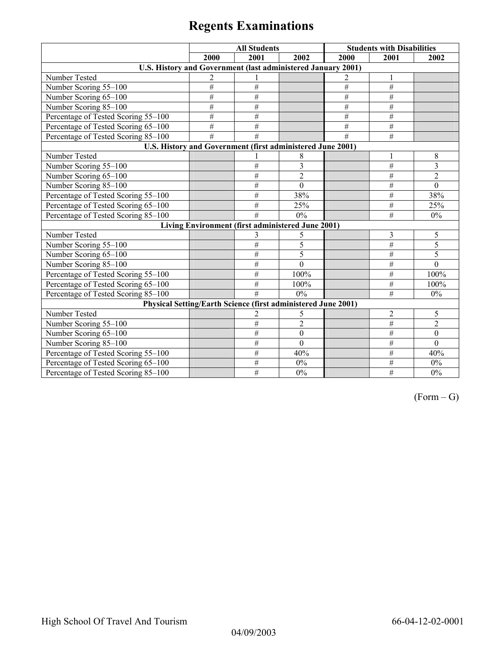# **Regents Examinations**

|                                                               | <b>All Students</b> |                                                   |                  |                 | <b>Students with Disabilities</b> |                |
|---------------------------------------------------------------|---------------------|---------------------------------------------------|------------------|-----------------|-----------------------------------|----------------|
|                                                               | 2000                | 2001                                              | 2002             | 2000            | 2001                              | 2002           |
| U.S. History and Government (last administered January 2001)  |                     |                                                   |                  |                 |                                   |                |
| Number Tested                                                 | 2                   |                                                   |                  | 2               | 1                                 |                |
| Number Scoring 55-100                                         | #                   | $\#$                                              |                  | $\#$            | $\#$                              |                |
| Number Scoring 65-100                                         | #                   | $\#$                                              |                  | $\overline{\#}$ | #                                 |                |
| Number Scoring 85-100                                         | #                   | $\#$                                              |                  | #               | $\overline{\#}$                   |                |
| Percentage of Tested Scoring 55-100                           | #                   | #                                                 |                  | #               | $\overline{\#}$                   |                |
| Percentage of Tested Scoring 65-100                           | #                   | #                                                 |                  | #               | #                                 |                |
| Percentage of Tested Scoring 85-100                           | #                   | #                                                 |                  | #               | #                                 |                |
| U.S. History and Government (first administered June 2001)    |                     |                                                   |                  |                 |                                   |                |
| Number Tested                                                 |                     |                                                   | 8                |                 | 1                                 | 8              |
| Number Scoring 55-100                                         |                     | #                                                 | 3                |                 | $\#$                              | 3              |
| Number Scoring 65-100                                         |                     | $\#$                                              | $\overline{2}$   |                 | #                                 | $\overline{2}$ |
| Number Scoring 85-100                                         |                     | #                                                 | $\mathbf{0}$     |                 | $\#$                              | $\mathbf{0}$   |
| Percentage of Tested Scoring 55-100                           |                     | $\#$                                              | 38%              |                 | #                                 | 38%            |
| Percentage of Tested Scoring 65-100                           |                     | #                                                 | 25%              |                 | $\#$                              | $25\sqrt{0}$   |
| Percentage of Tested Scoring 85-100                           |                     | #                                                 | 0%               |                 | #                                 | $0\%$          |
|                                                               |                     | Living Environment (first administered June 2001) |                  |                 |                                   |                |
| Number Tested                                                 |                     | 3                                                 | 5                |                 | $\overline{\mathbf{3}}$           | 5              |
| Number Scoring 55-100                                         |                     | #                                                 | 5                |                 | $\overline{\#}$                   | 5              |
| Number Scoring 65-100                                         |                     | #                                                 | 5                |                 | $\#$                              | 5              |
| Number Scoring 85-100                                         |                     | #                                                 | $\overline{0}$   |                 | $\overline{\#}$                   | $\theta$       |
| Percentage of Tested Scoring 55-100                           |                     | $\#$                                              | 100%             |                 | $\overline{\#}$                   | 100%           |
| Percentage of Tested Scoring 65-100                           |                     | $\#$                                              | 100%             |                 | #                                 | 100%           |
| Percentage of Tested Scoring 85-100                           |                     | #                                                 | 0%               |                 | $\overline{\#}$                   | $0\%$          |
| Physical Setting/Earth Science (first administered June 2001) |                     |                                                   |                  |                 |                                   |                |
| Number Tested                                                 |                     | $\overline{2}$                                    | 5                |                 | $\overline{2}$                    | 5              |
| Number Scoring 55-100                                         |                     | $\#$                                              | $\overline{2}$   |                 | $\#$                              | $\overline{2}$ |
| Number Scoring 65-100                                         |                     | $\#$                                              | $\boldsymbol{0}$ |                 | $\#$                              | $\theta$       |
| Number Scoring 85-100                                         |                     | #                                                 | $\mathbf{0}$     |                 | $\overline{\#}$                   | $\theta$       |
| Percentage of Tested Scoring 55-100                           |                     | $\#$                                              | 40%              |                 | $\overline{\#}$                   | 40%            |
| Percentage of Tested Scoring 65-100                           |                     | $\#$                                              | $0\%$            |                 | $\#$                              | $0\%$          |
| Percentage of Tested Scoring 85-100                           |                     | #                                                 | 0%               |                 | $\overline{\#}$                   | 0%             |

 $(Form - G)$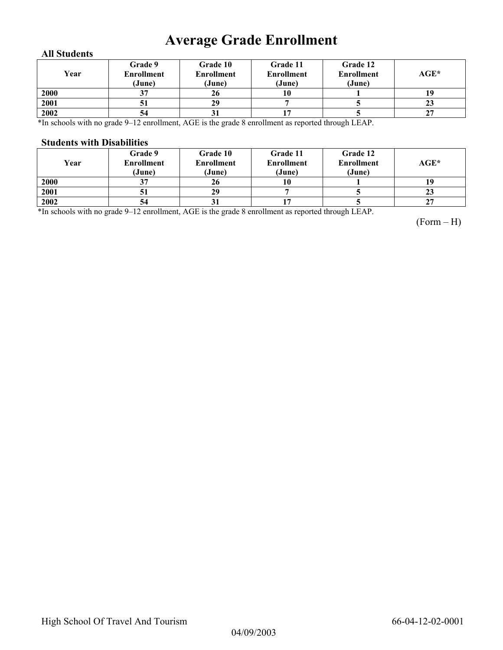# **Average Grade Enrollment**

### **All Students**

| Year | Grade 9<br><b>Enrollment</b><br>(June) | Grade 10<br><b>Enrollment</b><br>(June) | Grade 11<br><b>Enrollment</b><br>(June) | Grade 12<br><b>Enrollment</b><br>(June) | $AGE^*$ |
|------|----------------------------------------|-----------------------------------------|-----------------------------------------|-----------------------------------------|---------|
| 2000 |                                        | 26                                      | 10                                      |                                         |         |
| 2001 | э                                      | 29                                      |                                         |                                         | 23      |
| 2002 | 54                                     | IJ                                      |                                         |                                         | 27      |

\*In schools with no grade 9–12 enrollment, AGE is the grade 8 enrollment as reported through LEAP.

#### **Students with Disabilities**

| Year | Grade 9<br><b>Enrollment</b><br>(June) | <b>Grade 10</b><br><b>Enrollment</b><br>(June) | Grade 11<br><b>Enrollment</b><br>(June) | Grade 12<br><b>Enrollment</b><br>(June) | $AGE^*$ |
|------|----------------------------------------|------------------------------------------------|-----------------------------------------|-----------------------------------------|---------|
| 2000 | 37                                     | 26                                             | 10                                      |                                         |         |
| 2001 | 31                                     | 29                                             |                                         |                                         | 23      |
| 2002 | 54                                     | υı                                             |                                         |                                         | 27      |

\*In schools with no grade 9–12 enrollment, AGE is the grade 8 enrollment as reported through LEAP.

(Form – H)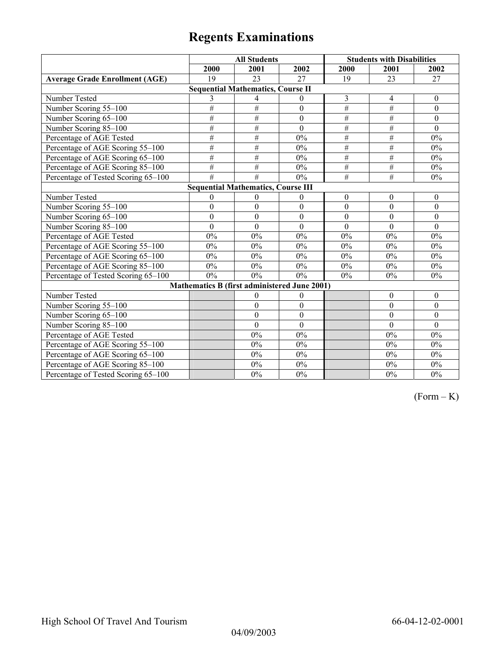# **Regents Examinations**

|                                       | <b>All Students</b>                          |                  |                  |                  | <b>Students with Disabilities</b> |                  |
|---------------------------------------|----------------------------------------------|------------------|------------------|------------------|-----------------------------------|------------------|
|                                       | 2000                                         | 2001             | 2002             | 2000             | 2001                              | 2002             |
| <b>Average Grade Enrollment (AGE)</b> | 19                                           | 23               | 27               | 19               | 23                                | 27               |
|                                       | <b>Sequential Mathematics, Course II</b>     |                  |                  |                  |                                   |                  |
| Number Tested                         | 3                                            | 4                | $\theta$         | 3                | 4                                 | $\boldsymbol{0}$ |
| Number Scoring 55-100                 | #                                            | #                | $\boldsymbol{0}$ | $\#$             | $\overline{\#}$                   | $\mathbf{0}$     |
| Number Scoring 65-100                 | #                                            | $\#$             | $\theta$         | $\#$             | $\#$                              | $\theta$         |
| Number Scoring 85-100                 | #                                            | #                | $\boldsymbol{0}$ | #                | #                                 | $\mathbf{0}$     |
| Percentage of AGE Tested              | #                                            | #                | 0%               | #                | #                                 | $0\%$            |
| Percentage of AGE Scoring 55-100      | #                                            | $\overline{\#}$  | 0%               | $\overline{\#}$  | #                                 | $0\%$            |
| Percentage of AGE Scoring 65-100      | #                                            | $\#$             | $0\%$            | #                | $\overline{\#}$                   | $0\%$            |
| Percentage of AGE Scoring 85-100      | $\#$                                         | $\#$             | $0\%$            | $\#$             | $\#$                              | $0\%$            |
| Percentage of Tested Scoring 65-100   | $\overline{\#}$                              | $\overline{\#}$  | $0\%$            | $\overline{\#}$  | $\overline{\#}$                   | $0\%$            |
|                                       | <b>Sequential Mathematics, Course III</b>    |                  |                  |                  |                                   |                  |
| Number Tested                         | $\boldsymbol{0}$                             | $\mathbf{0}$     | $\boldsymbol{0}$ | $\boldsymbol{0}$ | $\boldsymbol{0}$                  | $\boldsymbol{0}$ |
| Number Scoring 55-100                 | $\overline{0}$                               | $\overline{0}$   | $\overline{0}$   | $\overline{0}$   | $\overline{0}$                    | $\overline{0}$   |
| Number Scoring 65-100                 | $\overline{0}$                               | $\mathbf{0}$     | $\mathbf{0}$     | $\mathbf{0}$     | $\theta$                          | $\theta$         |
| Number Scoring 85-100                 | $\mathbf{0}$                                 | $\theta$         | $\theta$         | $\Omega$         | $\Omega$                          | $\Omega$         |
| Percentage of AGE Tested              | $0\%$                                        | 0%               | $0\%$            | 0%               | $0\%$                             | $0\%$            |
| Percentage of AGE Scoring 55-100      | $0\%$                                        | $0\%$            | $0\%$            | 0%               | $0\%$                             | $0\%$            |
| Percentage of AGE Scoring 65-100      | $0\%$                                        | $0\%$            | $0\%$            | 0%               | $0\%$                             | $0\%$            |
| Percentage of AGE Scoring 85-100      | 0%                                           | 0%               | 0%               | $0\%$            | $0\%$                             | $0\%$            |
| Percentage of Tested Scoring 65-100   | $0\%$                                        | 0%               | 0%               | 0%               | $0\%$                             | $0\%$            |
|                                       | Mathematics B (first administered June 2001) |                  |                  |                  |                                   |                  |
| Number Tested                         |                                              | $\boldsymbol{0}$ | $\theta$         |                  | $\mathbf{0}$                      | $\mathbf{0}$     |
| Number Scoring 55-100                 |                                              | $\theta$         | $\mathbf{0}$     |                  | $\theta$                          | $\mathbf{0}$     |
| Number Scoring 65-100                 |                                              | $\boldsymbol{0}$ | $\boldsymbol{0}$ |                  | $\boldsymbol{0}$                  | $\boldsymbol{0}$ |
| Number Scoring 85-100                 |                                              | $\mathbf{0}$     | $\boldsymbol{0}$ |                  | $\mathbf{0}$                      | $\mathbf{0}$     |
| Percentage of AGE Tested              |                                              | 0%               | $0\%$            |                  | $0\%$                             | $0\%$            |
| Percentage of AGE Scoring 55-100      |                                              | 0%               | $0\%$            |                  | $0\%$                             | $0\%$            |
| Percentage of AGE Scoring 65-100      |                                              | 0%               | $0\%$            |                  | $0\%$                             | $0\%$            |
| Percentage of AGE Scoring 85-100      |                                              | $0\%$            | $0\%$            |                  | $0\%$                             | $0\%$            |
| Percentage of Tested Scoring 65-100   |                                              | $0\%$            | $0\%$            |                  | $0\%$                             | $0\%$            |

 $(Form - K)$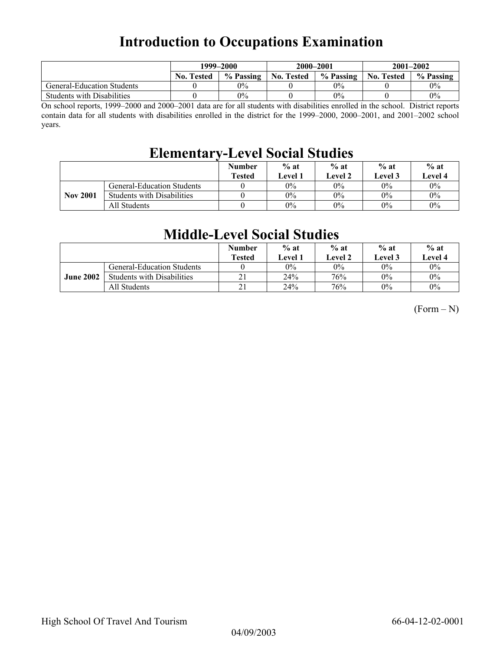## **Introduction to Occupations Examination**

|                                   | 1999–2000         |           | 2000-2001         |           | $2001 - 2002$     |           |
|-----------------------------------|-------------------|-----------|-------------------|-----------|-------------------|-----------|
|                                   | <b>No. Tested</b> | % Passing | <b>No. Tested</b> | % Passing | <b>No. Tested</b> | % Passing |
| <b>General-Education Students</b> |                   | $0\%$     |                   | 0%        |                   | $0\%$     |
| <b>Students with Disabilities</b> |                   | $0\%$     |                   | 0%        |                   | $0\%$     |

On school reports, 1999–2000 and 2000–2001 data are for all students with disabilities enrolled in the school. District reports contain data for all students with disabilities enrolled in the district for the 1999–2000, 2000–2001, and 2001–2002 school years.

## **Elementary-Level Social Studies**

|                 |                                   | <b>Number</b><br><b>Tested</b> | $%$ at<br>Level 1 | $%$ at<br><b>Level 2</b> | $%$ at<br>Level 3 | $%$ at<br><b>Level 4</b> |
|-----------------|-----------------------------------|--------------------------------|-------------------|--------------------------|-------------------|--------------------------|
|                 | <b>General-Education Students</b> |                                | $0\%$             | $0\%$                    | $0\%$             | $0\%$                    |
| <b>Nov 2001</b> | <b>Students with Disabilities</b> |                                | $0\%$             | 0%                       | $0\%$             | $0\%$                    |
|                 | All Students                      |                                | $0\%$             | $0\%$                    | $0\%$             | $0\%$                    |

## **Middle-Level Social Studies**

|                  |                                   | <b>Number</b><br><b>Tested</b> | $%$ at<br>Level 1 | $%$ at<br>Level 2 | $%$ at<br>Level 3 | $%$ at<br>Level 4 |
|------------------|-----------------------------------|--------------------------------|-------------------|-------------------|-------------------|-------------------|
|                  | <b>General-Education Students</b> |                                | $0\%$             | $0\%$             | $0\%$             | $0\%$             |
| <b>June 2002</b> | <b>Students with Disabilities</b> |                                | 24%               | 76%               | $0\%$             | $0\%$             |
|                  | All Students                      | 21                             | 24%               | 76%               | $0\%$             | $0\%$             |

 $(Form - N)$